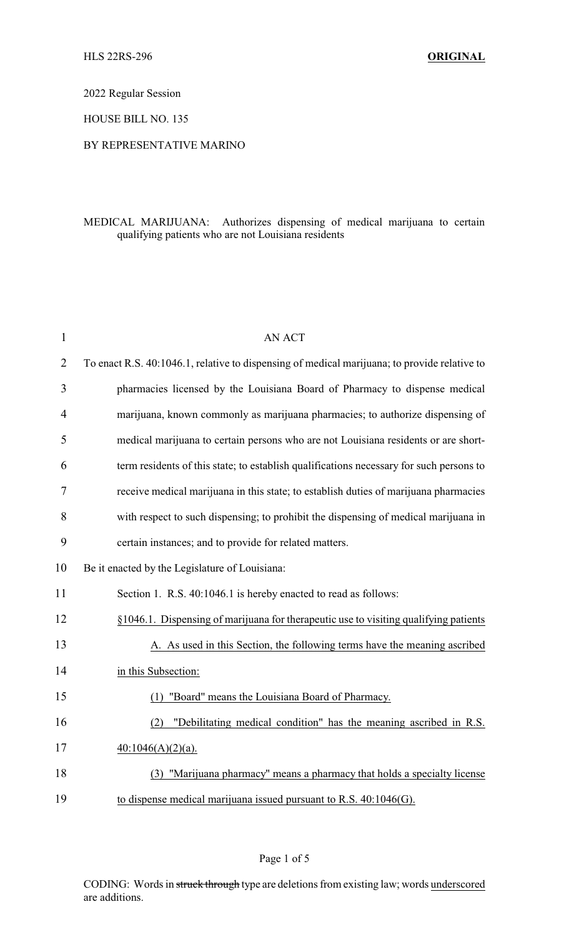2022 Regular Session

HOUSE BILL NO. 135

## BY REPRESENTATIVE MARINO

## MEDICAL MARIJUANA: Authorizes dispensing of medical marijuana to certain qualifying patients who are not Louisiana residents

| $\mathbf{1}$   | <b>AN ACT</b>                                                                                |
|----------------|----------------------------------------------------------------------------------------------|
| $\overline{2}$ | To enact R.S. 40:1046.1, relative to dispensing of medical marijuana; to provide relative to |
| 3              | pharmacies licensed by the Louisiana Board of Pharmacy to dispense medical                   |
| $\overline{4}$ | marijuana, known commonly as marijuana pharmacies; to authorize dispensing of                |
| 5              | medical marijuana to certain persons who are not Louisiana residents or are short-           |
| 6              | term residents of this state; to establish qualifications necessary for such persons to      |
| 7              | receive medical marijuana in this state; to establish duties of marijuana pharmacies         |
| 8              | with respect to such dispensing; to prohibit the dispensing of medical marijuana in          |
| 9              | certain instances; and to provide for related matters.                                       |
| 10             | Be it enacted by the Legislature of Louisiana:                                               |
| 11             | Section 1. R.S. 40:1046.1 is hereby enacted to read as follows:                              |
| 12             | §1046.1. Dispensing of marijuana for therapeutic use to visiting qualifying patients         |
| 13             | A. As used in this Section, the following terms have the meaning ascribed                    |
| 14             | in this Subsection:                                                                          |
| 15             | "Board" means the Louisiana Board of Pharmacy.<br>(1)                                        |
| 16             | "Debilitating medical condition" has the meaning ascribed in R.S.<br>(2)                     |
| 17             | $40:1046(A)(2)(a)$ .                                                                         |
| 18             | "Marijuana pharmacy" means a pharmacy that holds a specialty license<br>(3)                  |
| 19             | to dispense medical marijuana issued pursuant to R.S. 40:1046(G).                            |

Page 1 of 5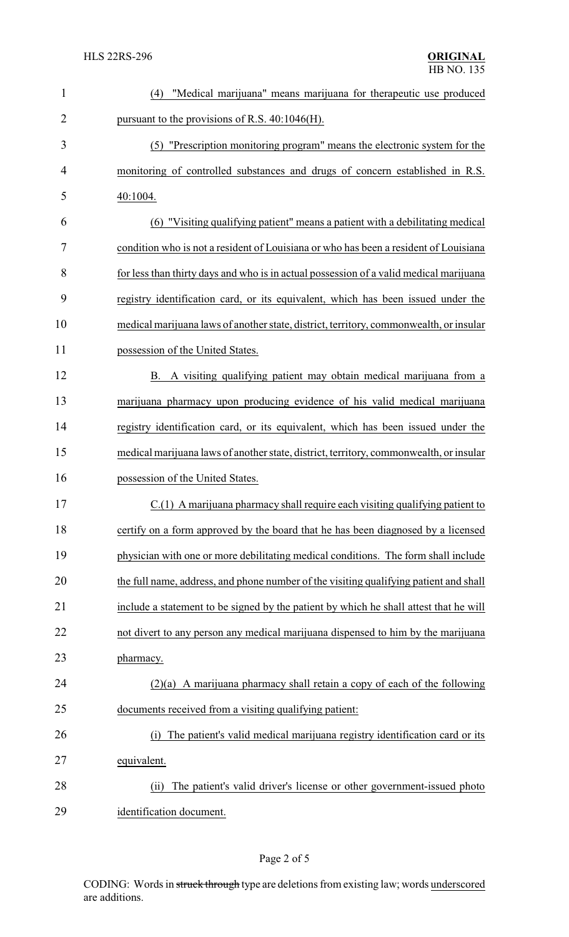| 1              | "Medical marijuana" means marijuana for therapeutic use produced<br>(4)                |
|----------------|----------------------------------------------------------------------------------------|
| $\overline{2}$ | pursuant to the provisions of R.S. 40:1046(H).                                         |
| 3              | (5) "Prescription monitoring program" means the electronic system for the              |
| 4              | monitoring of controlled substances and drugs of concern established in R.S.           |
| 5              | 40:1004.                                                                               |
| 6              | (6) "Visiting qualifying patient" means a patient with a debilitating medical          |
| 7              | condition who is not a resident of Louisiana or who has been a resident of Louisiana   |
| 8              | for less than thirty days and who is in actual possession of a valid medical marijuana |
| 9              | registry identification card, or its equivalent, which has been issued under the       |
| 10             | medical marijuana laws of another state, district, territory, commonwealth, or insular |
| 11             | possession of the United States.                                                       |
| 12             | B. A visiting qualifying patient may obtain medical marijuana from a                   |
| 13             | marijuana pharmacy upon producing evidence of his valid medical marijuana              |
| 14             | registry identification card, or its equivalent, which has been issued under the       |
| 15             | medical marijuana laws of another state, district, territory, commonwealth, or insular |
| 16             | possession of the United States.                                                       |
| 17             | C.(1) A marijuana pharmacy shall require each visiting qualifying patient to           |
| 18             | certify on a form approved by the board that he has been diagnosed by a licensed       |
| 19             | physician with one or more debilitating medical conditions. The form shall include     |
| 20             | the full name, address, and phone number of the visiting qualifying patient and shall  |
| 21             | include a statement to be signed by the patient by which he shall attest that he will  |
| 22             | not divert to any person any medical marijuana dispensed to him by the marijuana       |
| 23             | pharmacy.                                                                              |
| 24             | $(2)(a)$ A marijuana pharmacy shall retain a copy of each of the following             |
| 25             | documents received from a visiting qualifying patient:                                 |
| 26             | The patient's valid medical marijuana registry identification card or its<br>(i)       |
| 27             | equivalent.                                                                            |
| 28             | The patient's valid driver's license or other government-issued photo<br>(i)           |
| 29             | identification document.                                                               |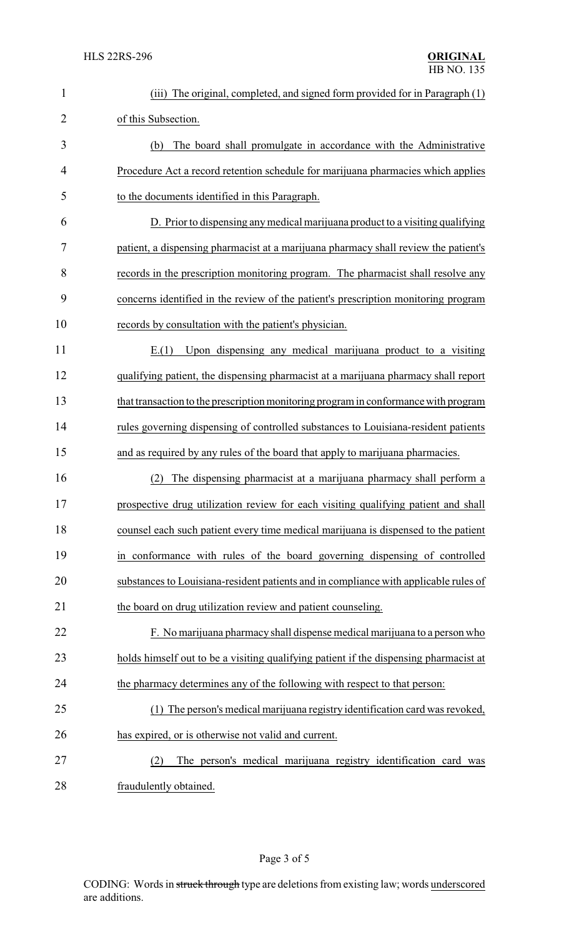| 1              | (iii) The original, completed, and signed form provided for in Paragraph (1)          |
|----------------|---------------------------------------------------------------------------------------|
| $\overline{2}$ | of this Subsection.                                                                   |
| 3              | The board shall promulgate in accordance with the Administrative<br>(b)               |
| 4              | Procedure Act a record retention schedule for marijuana pharmacies which applies      |
| 5              | to the documents identified in this Paragraph.                                        |
| 6              | D. Prior to dispensing any medical marijuana product to a visiting qualifying         |
| 7              | patient, a dispensing pharmacist at a marijuana pharmacy shall review the patient's   |
| 8              | records in the prescription monitoring program. The pharmacist shall resolve any      |
| 9              | concerns identified in the review of the patient's prescription monitoring program    |
| 10             | records by consultation with the patient's physician.                                 |
| 11             | Upon dispensing any medical marijuana product to a visiting<br>E(1)                   |
| 12             | qualifying patient, the dispensing pharmacist at a marijuana pharmacy shall report    |
| 13             | that transaction to the prescription monitoring program in conformance with program   |
| 14             | rules governing dispensing of controlled substances to Louisiana-resident patients    |
| 15             | and as required by any rules of the board that apply to marijuana pharmacies.         |
| 16             | The dispensing pharmacist at a marijuana pharmacy shall perform a                     |
| 17             | prospective drug utilization review for each visiting qualifying patient and shall    |
| 18             | counsel each such patient every time medical marijuana is dispensed to the patient    |
| 19             | in conformance with rules of the board governing dispensing of controlled             |
| 20             | substances to Louisiana-resident patients and in compliance with applicable rules of  |
| 21             | the board on drug utilization review and patient counseling.                          |
| 22             | F. No marijuana pharmacy shall dispense medical marijuana to a person who             |
| 23             | holds himself out to be a visiting qualifying patient if the dispensing pharmacist at |
| 24             | the pharmacy determines any of the following with respect to that person:             |
| 25             | (1) The person's medical marijuana registry identification card was revoked,          |
| 26             | has expired, or is otherwise not valid and current.                                   |
| 27             | The person's medical marijuana registry identification card was<br>(2)                |
| 28             | fraudulently obtained.                                                                |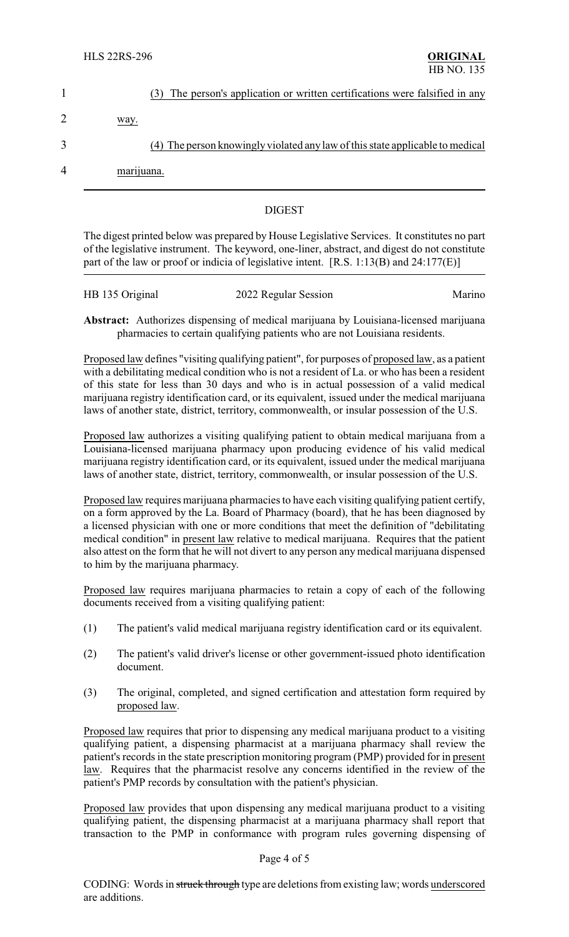| (3) The person's application or written certifications were falsified in any  |
|-------------------------------------------------------------------------------|
| way.                                                                          |
| (4) The person knowingly violated any law of this state applicable to medical |
| marijuana.                                                                    |
|                                                                               |

## DIGEST

The digest printed below was prepared by House Legislative Services. It constitutes no part of the legislative instrument. The keyword, one-liner, abstract, and digest do not constitute part of the law or proof or indicia of legislative intent. [R.S. 1:13(B) and 24:177(E)]

| HB 135 Original | 2022 Regular Session | Marino |
|-----------------|----------------------|--------|
|                 |                      |        |

**Abstract:** Authorizes dispensing of medical marijuana by Louisiana-licensed marijuana pharmacies to certain qualifying patients who are not Louisiana residents.

Proposed law defines "visiting qualifying patient", for purposes of proposed law, as a patient with a debilitating medical condition who is not a resident of La. or who has been a resident of this state for less than 30 days and who is in actual possession of a valid medical marijuana registry identification card, or its equivalent, issued under the medical marijuana laws of another state, district, territory, commonwealth, or insular possession of the U.S.

Proposed law authorizes a visiting qualifying patient to obtain medical marijuana from a Louisiana-licensed marijuana pharmacy upon producing evidence of his valid medical marijuana registry identification card, or its equivalent, issued under the medical marijuana laws of another state, district, territory, commonwealth, or insular possession of the U.S.

Proposed law requires marijuana pharmacies to have each visiting qualifying patient certify, on a form approved by the La. Board of Pharmacy (board), that he has been diagnosed by a licensed physician with one or more conditions that meet the definition of "debilitating medical condition" in present law relative to medical marijuana. Requires that the patient also attest on the form that he will not divert to any person any medical marijuana dispensed to him by the marijuana pharmacy.

Proposed law requires marijuana pharmacies to retain a copy of each of the following documents received from a visiting qualifying patient:

- (1) The patient's valid medical marijuana registry identification card or its equivalent.
- (2) The patient's valid driver's license or other government-issued photo identification document.
- (3) The original, completed, and signed certification and attestation form required by proposed law.

Proposed law requires that prior to dispensing any medical marijuana product to a visiting qualifying patient, a dispensing pharmacist at a marijuana pharmacy shall review the patient's records in the state prescription monitoring program (PMP) provided for in present law. Requires that the pharmacist resolve any concerns identified in the review of the patient's PMP records by consultation with the patient's physician.

Proposed law provides that upon dispensing any medical marijuana product to a visiting qualifying patient, the dispensing pharmacist at a marijuana pharmacy shall report that transaction to the PMP in conformance with program rules governing dispensing of

## Page 4 of 5